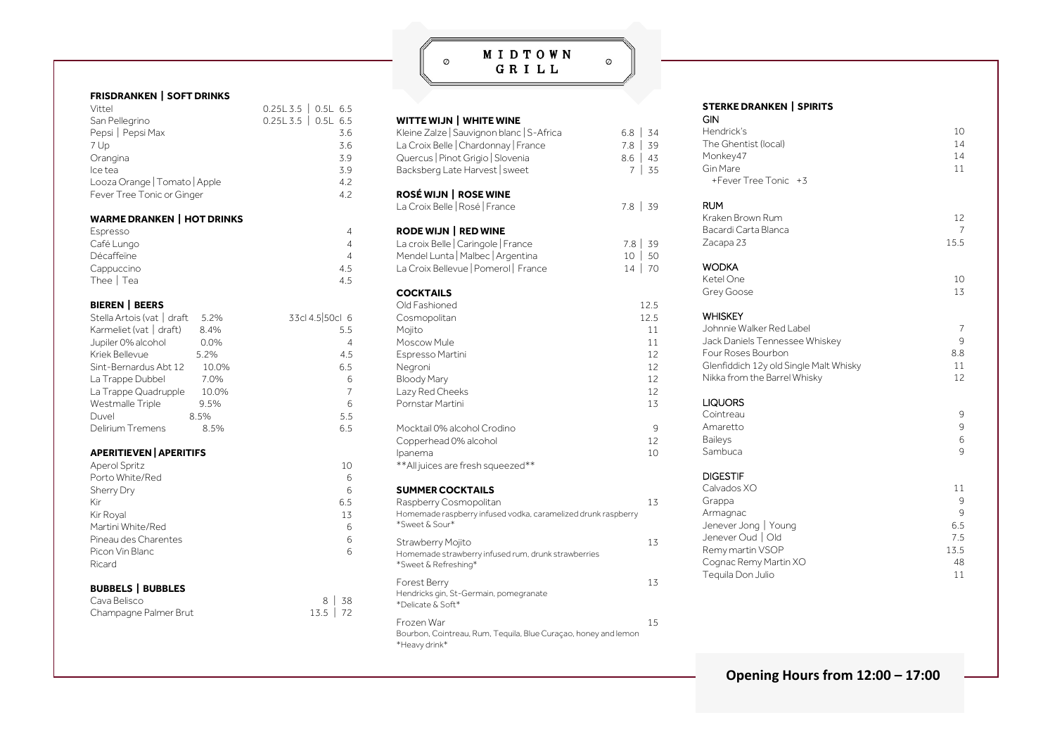## MIDTOWN GRILL

 $\circledcirc$ 

 $\circledcirc$ 

| <b>FRISDRANKEN   SOFT DRINKS</b>  |       |                     |
|-----------------------------------|-------|---------------------|
| Vittel                            |       | $0.25L3.5$ 0.5L 6.5 |
| San Pellegrino                    |       | $0.25L3.5$ 0.5L 6.5 |
| Pepsi   Pepsi Max                 |       | 3.6                 |
| 7 Up                              |       | 3.6                 |
| Orangina                          |       | 3.9                 |
| Ice tea                           |       | 3.9                 |
| Looza Orange   Tomato   Apple     |       | 4.2                 |
| Fever Tree Tonic or Ginger        |       | 4.2                 |
| <b>WARME DRANKEN   HOT DRINKS</b> |       |                     |
| Espresso                          |       | 4                   |
| Café Lungo                        |       | 4                   |
| Décaffeïne                        |       | 4                   |
| Cappuccino                        |       | 4.5                 |
| Thee   Tea                        |       | 4.5                 |
| <b>BIEREN   BEERS</b>             |       |                     |
| Stella Artois (vat   draft        | 5.2%  | 33cl 4.5 50cl 6     |
| Karmeliet (vat   draft)           | 8.4%  | 5.5                 |
| Jupiler 0% alcohol                | 0.0%  | 4                   |
| Kriek Bellevue                    | 5.2%  | 4.5                 |
| Sint-Bernardus Abt 12             | 10.0% | 6.5                 |
| La Trappe Dubbel                  | 7.0%  | 6                   |
| La Trappe Quadrupple              | 10.0% | $\overline{7}$      |
| Westmalle Triple                  | 9.5%  | 6                   |
| Duvel                             | 8.5%  | 5.5                 |
| Delirium Tremens                  | 8.5%  | 6.5                 |
| <b>APERITIEVEN   APERITIFS</b>    |       |                     |

| <b>Aperol Spritz</b>     | 10  |
|--------------------------|-----|
| Porto White/Red          | 6   |
| Sherry Dry               | 6   |
| Kir                      | 6.5 |
| Kir Royal                | 13  |
| Martini White/Red        | 6   |
| Pineau des Charentes     | 6   |
| Picon Vin Blanc          | 6   |
| Ricard                   |     |
|                          |     |
| <b>BUBBELS   BUBBLES</b> |     |

| Cava Belisco          |             | $8 \mid 38$ |
|-----------------------|-------------|-------------|
| Champagne Palmer Brut | $13.5$   72 |             |

| WITTE WIJN   WHITE WINE<br>Kleine Zalze   Sauvignon blanc   S-Africa<br>La Croix Belle   Chardonnay   France<br>Quercus   Pinot Grigio   Slovenia<br>Backsberg Late Harvest   sweet | 6.8  <br>7.8<br>$8.6 \mid 43$<br>7 | 34<br>39<br>  35                                              |
|-------------------------------------------------------------------------------------------------------------------------------------------------------------------------------------|------------------------------------|---------------------------------------------------------------|
| <b>ROSÉ WIJN   ROSE WINE</b><br>La Croix Belle   Rosé   France                                                                                                                      | $7.8$ 39                           |                                                               |
| <b>RODE WIJN   RED WINE</b><br>La croix Belle   Caringole   France<br>Mendel Lunta   Malbec   Argentina<br>La Croix Bellevue   Pomerol   France                                     | $10-1$                             | 7.8 39<br>50<br>14   70                                       |
| <b>COCKTAILS</b><br>Old Fashioned<br>Cosmopolitan<br>Mojito<br>Moscow Mule<br>Espresso Martini<br>Negroni<br><b>Bloody Mary</b><br>Lazy Red Cheeks<br>Pornstar Martini              |                                    | 12.5<br>12.5<br>11<br>11<br>$12^{12}$<br>12<br>12<br>12<br>13 |
| Mocktail 0% alcohol Crodino<br>Copperhead 0% alcohol<br>Ipanema<br>** All juices are fresh squeezed**                                                                               |                                    | 9<br>12<br>10                                                 |
| <b>SUMMER COCKTAILS</b><br>Raspberry Cosmopolitan<br>Homemade raspberry infused vodka, caramelized drunk raspberry<br>*Sweet & Sour*                                                |                                    | 13                                                            |
| Strawberry Mojito<br>Homemade strawberry infused rum, drunk strawberries<br>*Sweet & Refreshing*                                                                                    |                                    | 13                                                            |
| Forest Berry<br>Hendricks gin, St-Germain, pomegranate<br>*Delicate & Soft*                                                                                                         |                                    | 13                                                            |
| Frozen War<br>Bourbon, Cointreau, Rum, Tequila, Blue Curaçao, honey and lemon<br>*Heavy drink*                                                                                      |                                    | 15                                                            |

## **STERKE DRANKEN | SPIRITS**

| GIN<br>Hendrick's<br>The Ghentist (local)<br>Monkey47<br>Gin Mare<br>+Fever Tree Tonic +3                                                                                    | 10<br>14<br>14<br>11                           |
|------------------------------------------------------------------------------------------------------------------------------------------------------------------------------|------------------------------------------------|
| RUM<br>Kraken Brown Rum<br>Bacardi Carta Blanca<br>Zacapa 23                                                                                                                 | 12<br>7<br>15.5                                |
| <b>WODKA</b><br>Ketel One<br>Grey Goose                                                                                                                                      | 10<br>13                                       |
| <b>WHISKEY</b><br>Johnnie Walker Red Label<br>Jack Daniels Tennessee Whiskey<br>Four Roses Bourbon<br>Glenfiddich 12y old Single Malt Whisky<br>Nikka from the Barrel Whisky | 7<br>9<br>8.8<br>11<br>12                      |
| <b>LIQUORS</b><br>Cointreau<br>Amaretto<br><b>Baileys</b><br>Sambuca                                                                                                         | 9<br>9<br>6<br>9                               |
| <b>DIGESTIF</b><br>Calvados XO<br>Grappa<br>Armagnac<br>Jenever Jong   Young<br>Jenever Oud   Old<br>Remy martin VSOP<br>Cognac Remy Martin XO<br>Tequila Don Julio          | 11<br>9<br>9<br>6.5<br>7.5<br>13.5<br>48<br>11 |